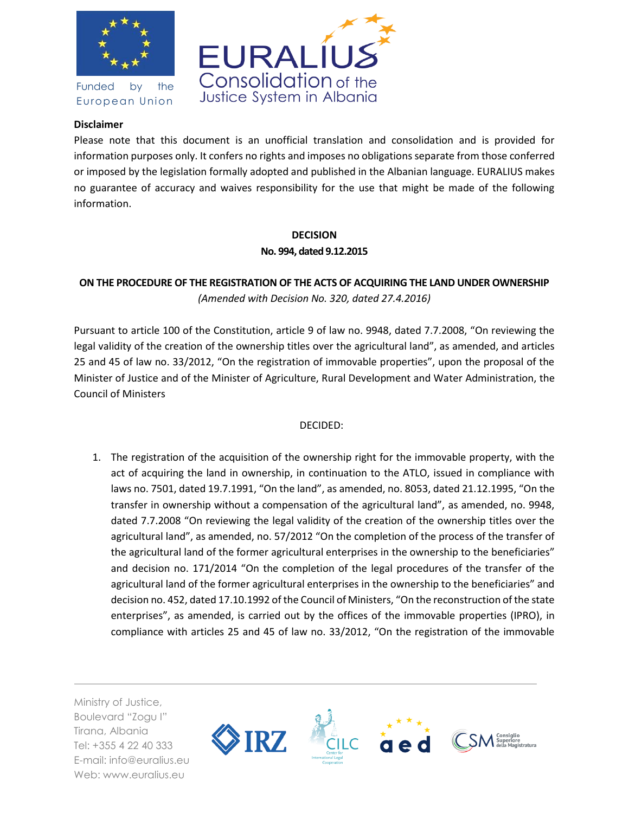

Funded by the European Union



## **Disclaimer**

Please note that this document is an unofficial translation and consolidation and is provided for information purposes only. It confers no rights and imposes no obligations separate from those conferred or imposed by the legislation formally adopted and published in the Albanian language. EURALIUS makes no guarantee of accuracy and waives responsibility for the use that might be made of the following information.

## **DECISION No. 994, dated 9.12.2015**

## **ON THE PROCEDURE OF THE REGISTRATION OF THE ACTS OF ACQUIRING THE LAND UNDER OWNERSHIP**  *(Amended with Decision No. 320, dated 27.4.2016)*

Pursuant to article 100 of the Constitution, article 9 of law no. 9948, dated 7.7.2008, "On reviewing the legal validity of the creation of the ownership titles over the agricultural land", as amended, and articles 25 and 45 of law no. 33/2012, "On the registration of immovable properties", upon the proposal of the Minister of Justice and of the Minister of Agriculture, Rural Development and Water Administration, the Council of Ministers

## DECIDED:

1. The registration of the acquisition of the ownership right for the immovable property, with the act of acquiring the land in ownership, in continuation to the ATLO, issued in compliance with laws no. 7501, dated 19.7.1991, "On the land", as amended, no. 8053, dated 21.12.1995, "On the transfer in ownership without a compensation of the agricultural land", as amended, no. 9948, dated 7.7.2008 "On reviewing the legal validity of the creation of the ownership titles over the agricultural land", as amended, no. 57/2012 "On the completion of the process of the transfer of the agricultural land of the former agricultural enterprises in the ownership to the beneficiaries" and decision no. 171/2014 "On the completion of the legal procedures of the transfer of the agricultural land of the former agricultural enterprises in the ownership to the beneficiaries" and decision no. 452, dated 17.10.1992 of the Council of Ministers, "On the reconstruction of the state enterprises", as amended, is carried out by the offices of the immovable properties (IPRO), in compliance with articles 25 and 45 of law no. 33/2012, "On the registration of the immovable

Ministry of Justice, Boulevard "Zogu I" Tirana, Albania Tel: +355 4 22 40 333 E-mail: info@euralius.eu Web: www.euralius.eu

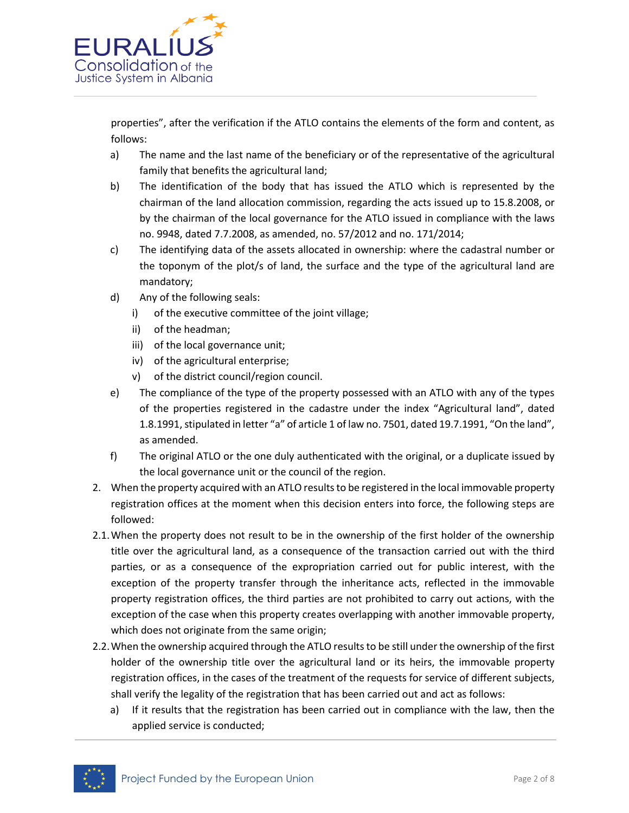

properties", after the verification if the ATLO contains the elements of the form and content, as follows:

- a) The name and the last name of the beneficiary or of the representative of the agricultural family that benefits the agricultural land;
- b) The identification of the body that has issued the ATLO which is represented by the chairman of the land allocation commission, regarding the acts issued up to 15.8.2008, or by the chairman of the local governance for the ATLO issued in compliance with the laws no. 9948, dated 7.7.2008, as amended, no. 57/2012 and no. 171/2014;
- c) The identifying data of the assets allocated in ownership: where the cadastral number or the toponym of the plot/s of land, the surface and the type of the agricultural land are mandatory;
- d) Any of the following seals:
	- i) of the executive committee of the joint village;
	- ii) of the headman;
	- iii) of the local governance unit;
	- iv) of the agricultural enterprise;
	- v) of the district council/region council.
- e) The compliance of the type of the property possessed with an ATLO with any of the types of the properties registered in the cadastre under the index "Agricultural land", dated 1.8.1991, stipulated in letter "a" of article 1 of law no. 7501, dated 19.7.1991, "On the land", as amended.
- f) The original ATLO or the one duly authenticated with the original, or a duplicate issued by the local governance unit or the council of the region.
- 2. When the property acquired with an ATLO results to be registered in the local immovable property registration offices at the moment when this decision enters into force, the following steps are followed:
- 2.1.When the property does not result to be in the ownership of the first holder of the ownership title over the agricultural land, as a consequence of the transaction carried out with the third parties, or as a consequence of the expropriation carried out for public interest, with the exception of the property transfer through the inheritance acts, reflected in the immovable property registration offices, the third parties are not prohibited to carry out actions, with the exception of the case when this property creates overlapping with another immovable property, which does not originate from the same origin;
- 2.2.When the ownership acquired through the ATLO results to be still under the ownership of the first holder of the ownership title over the agricultural land or its heirs, the immovable property registration offices, in the cases of the treatment of the requests for service of different subjects, shall verify the legality of the registration that has been carried out and act as follows:
	- a) If it results that the registration has been carried out in compliance with the law, then the applied service is conducted;

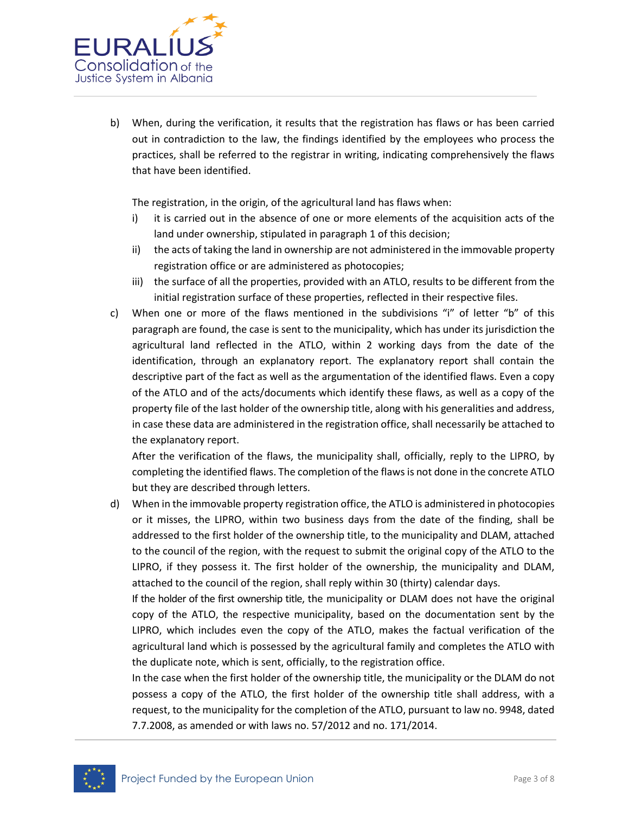

b) When, during the verification, it results that the registration has flaws or has been carried out in contradiction to the law, the findings identified by the employees who process the practices, shall be referred to the registrar in writing, indicating comprehensively the flaws that have been identified.

The registration, in the origin, of the agricultural land has flaws when:

- i) it is carried out in the absence of one or more elements of the acquisition acts of the land under ownership, stipulated in paragraph 1 of this decision;
- ii) the acts of taking the land in ownership are not administered in the immovable property registration office or are administered as photocopies;
- iii) the surface of all the properties, provided with an ATLO, results to be different from the initial registration surface of these properties, reflected in their respective files.
- c) When one or more of the flaws mentioned in the subdivisions "i" of letter "b" of this paragraph are found, the case is sent to the municipality, which has under its jurisdiction the agricultural land reflected in the ATLO, within 2 working days from the date of the identification, through an explanatory report. The explanatory report shall contain the descriptive part of the fact as well as the argumentation of the identified flaws. Even a copy of the ATLO and of the acts/documents which identify these flaws, as well as a copy of the property file of the last holder of the ownership title, along with his generalities and address, in case these data are administered in the registration office, shall necessarily be attached to the explanatory report.

After the verification of the flaws, the municipality shall, officially, reply to the LIPRO, by completing the identified flaws. The completion of the flaws is not done in the concrete ATLO but they are described through letters.

d) When in the immovable property registration office, the ATLO is administered in photocopies or it misses, the LIPRO, within two business days from the date of the finding, shall be addressed to the first holder of the ownership title, to the municipality and DLAM, attached to the council of the region, with the request to submit the original copy of the ATLO to the LIPRO, if they possess it. The first holder of the ownership, the municipality and DLAM, attached to the council of the region, shall reply within 30 (thirty) calendar days.

If the holder of the first ownership title, the municipality or DLAM does not have the original copy of the ATLO, the respective municipality, based on the documentation sent by the LIPRO, which includes even the copy of the ATLO, makes the factual verification of the agricultural land which is possessed by the agricultural family and completes the ATLO with the duplicate note, which is sent, officially, to the registration office.

In the case when the first holder of the ownership title, the municipality or the DLAM do not possess a copy of the ATLO, the first holder of the ownership title shall address, with a request, to the municipality for the completion of the ATLO, pursuant to law no. 9948, dated 7.7.2008, as amended or with laws no. 57/2012 and no. 171/2014.

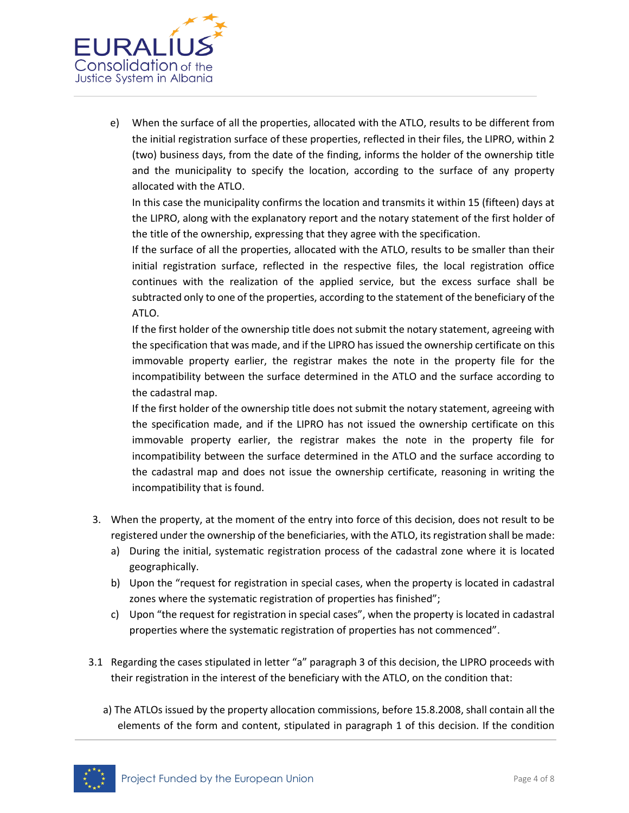

e) When the surface of all the properties, allocated with the ATLO, results to be different from the initial registration surface of these properties, reflected in their files, the LIPRO, within 2 (two) business days, from the date of the finding, informs the holder of the ownership title and the municipality to specify the location, according to the surface of any property allocated with the ATLO.

In this case the municipality confirms the location and transmits it within 15 (fifteen) days at the LIPRO, along with the explanatory report and the notary statement of the first holder of the title of the ownership, expressing that they agree with the specification.

If the surface of all the properties, allocated with the ATLO, results to be smaller than their initial registration surface, reflected in the respective files, the local registration office continues with the realization of the applied service, but the excess surface shall be subtracted only to one of the properties, according to the statement of the beneficiary of the ATLO.

If the first holder of the ownership title does not submit the notary statement, agreeing with the specification that was made, and if the LIPRO has issued the ownership certificate on this immovable property earlier, the registrar makes the note in the property file for the incompatibility between the surface determined in the ATLO and the surface according to the cadastral map.

If the first holder of the ownership title does not submit the notary statement, agreeing with the specification made, and if the LIPRO has not issued the ownership certificate on this immovable property earlier, the registrar makes the note in the property file for incompatibility between the surface determined in the ATLO and the surface according to the cadastral map and does not issue the ownership certificate, reasoning in writing the incompatibility that is found.

- 3. When the property, at the moment of the entry into force of this decision, does not result to be registered under the ownership of the beneficiaries, with the ATLO, its registration shall be made:
	- a) During the initial, systematic registration process of the cadastral zone where it is located geographically.
	- b) Upon the "request for registration in special cases, when the property is located in cadastral zones where the systematic registration of properties has finished";
	- c) Upon "the request for registration in special cases", when the property is located in cadastral properties where the systematic registration of properties has not commenced".
- 3.1 Regarding the cases stipulated in letter "a" paragraph 3 of this decision, the LIPRO proceeds with their registration in the interest of the beneficiary with the ATLO, on the condition that:
	- a) The ATLOs issued by the property allocation commissions, before 15.8.2008, shall contain all the elements of the form and content, stipulated in paragraph 1 of this decision. If the condition

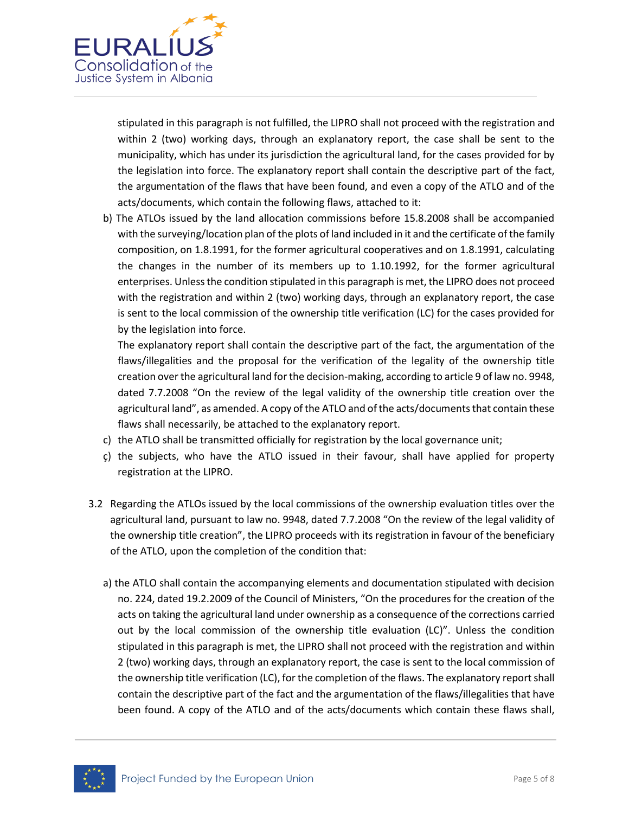

stipulated in this paragraph is not fulfilled, the LIPRO shall not proceed with the registration and within 2 (two) working days, through an explanatory report, the case shall be sent to the municipality, which has under its jurisdiction the agricultural land, for the cases provided for by the legislation into force. The explanatory report shall contain the descriptive part of the fact, the argumentation of the flaws that have been found, and even a copy of the ATLO and of the acts/documents, which contain the following flaws, attached to it:

b) The ATLOs issued by the land allocation commissions before 15.8.2008 shall be accompanied with the surveying/location plan of the plots of land included in it and the certificate of the family composition, on 1.8.1991, for the former agricultural cooperatives and on 1.8.1991, calculating the changes in the number of its members up to 1.10.1992, for the former agricultural enterprises. Unless the condition stipulated in this paragraph is met, the LIPRO does not proceed with the registration and within 2 (two) working days, through an explanatory report, the case is sent to the local commission of the ownership title verification (LC) for the cases provided for by the legislation into force.

The explanatory report shall contain the descriptive part of the fact, the argumentation of the flaws/illegalities and the proposal for the verification of the legality of the ownership title creation over the agricultural land for the decision-making, according to article 9 of law no. 9948, dated 7.7.2008 "On the review of the legal validity of the ownership title creation over the agricultural land", as amended. A copy of the ATLO and of the acts/documents that contain these flaws shall necessarily, be attached to the explanatory report.

- c) the ATLO shall be transmitted officially for registration by the local governance unit;
- ç) the subjects, who have the ATLO issued in their favour, shall have applied for property registration at the LIPRO.
- 3.2 Regarding the ATLOs issued by the local commissions of the ownership evaluation titles over the agricultural land, pursuant to law no. 9948, dated 7.7.2008 "On the review of the legal validity of the ownership title creation", the LIPRO proceeds with its registration in favour of the beneficiary of the ATLO, upon the completion of the condition that:
	- a) the ATLO shall contain the accompanying elements and documentation stipulated with decision no. 224, dated 19.2.2009 of the Council of Ministers, "On the procedures for the creation of the acts on taking the agricultural land under ownership as a consequence of the corrections carried out by the local commission of the ownership title evaluation (LC)". Unless the condition stipulated in this paragraph is met, the LIPRO shall not proceed with the registration and within 2 (two) working days, through an explanatory report, the case is sent to the local commission of the ownership title verification (LC), for the completion of the flaws. The explanatory report shall contain the descriptive part of the fact and the argumentation of the flaws/illegalities that have been found. A copy of the ATLO and of the acts/documents which contain these flaws shall,

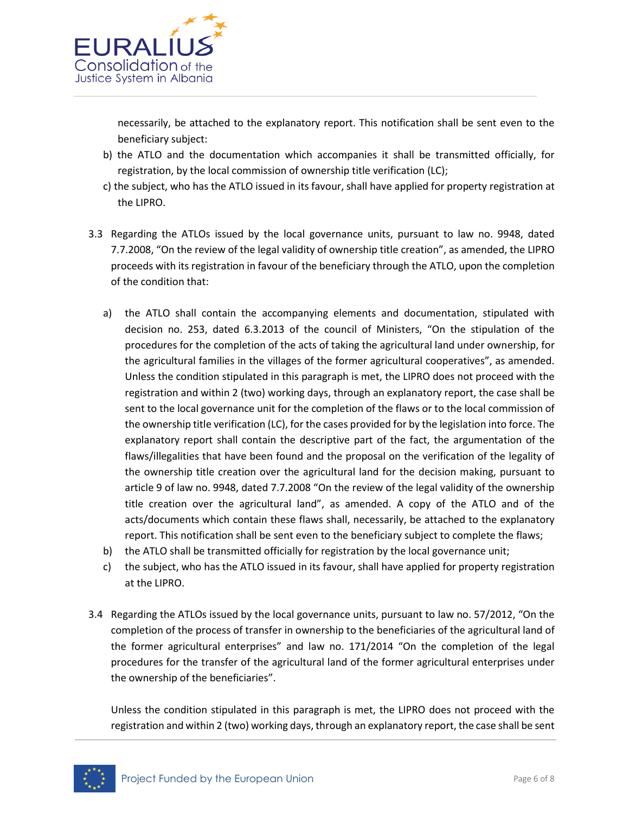

necessarily, be attached to the explanatory report. This notification shall be sent even to the beneficiary subject:

- b) the ATLO and the documentation which accompanies it shall be transmitted officially, for registration, by the local commission of ownership title verification (LC);
- c) the subject, who has the ATLO issued in its favour, shall have applied for property registration at the LIPRO.
- 3.3 Regarding the ATLOs issued by the local governance units, pursuant to law no. 9948, dated 7.7.2008, "On the review of the legal validity of ownership title creation", as amended, the LIPRO proceeds with its registration in favour of the beneficiary through the ATLO, upon the completion of the condition that:
	- a) the ATLO shall contain the accompanying elements and documentation, stipulated with decision no. 253, dated 6.3.2013 of the council of Ministers, "On the stipulation of the procedures for the completion of the acts of taking the agricultural land under ownership, for the agricultural families in the villages of the former agricultural cooperatives", as amended. Unless the condition stipulated in this paragraph is met, the LIPRO does not proceed with the registration and within 2 (two) working days, through an explanatory report, the case shall be sent to the local governance unit for the completion of the flaws or to the local commission of the ownership title verification (LC), for the cases provided for by the legislation into force. The explanatory report shall contain the descriptive part of the fact, the argumentation of the flaws/illegalities that have been found and the proposal on the verification of the legality of the ownership title creation over the agricultural land for the decision making, pursuant to article 9 of law no. 9948, dated 7.7.2008 "On the review of the legal validity of the ownership title creation over the agricultural land", as amended. A copy of the ATLO and of the acts/documents which contain these flaws shall, necessarily, be attached to the explanatory report. This notification shall be sent even to the beneficiary subject to complete the flaws;
	- b) the ATLO shall be transmitted officially for registration by the local governance unit;
	- c) the subject, who has the ATLO issued in its favour, shall have applied for property registration at the LIPRO.
- 3.4 Regarding the ATLOs issued by the local governance units, pursuant to law no. 57/2012, "On the completion of the process of transfer in ownership to the beneficiaries of the agricultural land of the former agricultural enterprises" and law no. 171/2014 "On the completion of the legal procedures for the transfer of the agricultural land of the former agricultural enterprises under the ownership of the beneficiaries".

Unless the condition stipulated in this paragraph is met, the LIPRO does not proceed with the registration and within 2 (two) working days, through an explanatory report, the case shall be sent

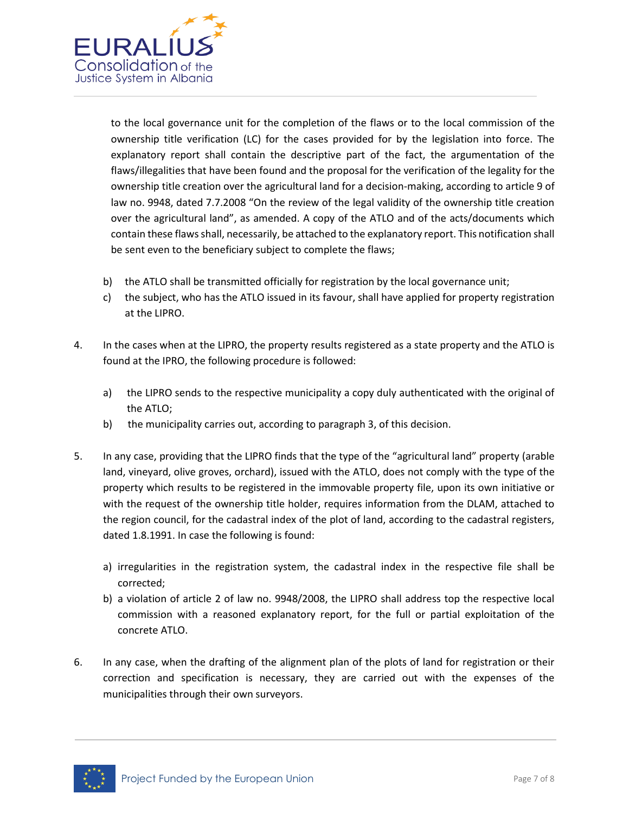

to the local governance unit for the completion of the flaws or to the local commission of the ownership title verification (LC) for the cases provided for by the legislation into force. The explanatory report shall contain the descriptive part of the fact, the argumentation of the flaws/illegalities that have been found and the proposal for the verification of the legality for the ownership title creation over the agricultural land for a decision-making, according to article 9 of law no. 9948, dated 7.7.2008 "On the review of the legal validity of the ownership title creation over the agricultural land", as amended. A copy of the ATLO and of the acts/documents which contain these flaws shall, necessarily, be attached to the explanatory report. This notification shall be sent even to the beneficiary subject to complete the flaws;

- b) the ATLO shall be transmitted officially for registration by the local governance unit;
- c) the subject, who has the ATLO issued in its favour, shall have applied for property registration at the LIPRO.
- 4. In the cases when at the LIPRO, the property results registered as a state property and the ATLO is found at the IPRO, the following procedure is followed:
	- a) the LIPRO sends to the respective municipality a copy duly authenticated with the original of the ATLO;
	- b) the municipality carries out, according to paragraph 3, of this decision.
- 5. In any case, providing that the LIPRO finds that the type of the "agricultural land" property (arable land, vineyard, olive groves, orchard), issued with the ATLO, does not comply with the type of the property which results to be registered in the immovable property file, upon its own initiative or with the request of the ownership title holder, requires information from the DLAM, attached to the region council, for the cadastral index of the plot of land, according to the cadastral registers, dated 1.8.1991. In case the following is found:
	- a) irregularities in the registration system, the cadastral index in the respective file shall be corrected;
	- b) a violation of article 2 of law no. 9948/2008, the LIPRO shall address top the respective local commission with a reasoned explanatory report, for the full or partial exploitation of the concrete ATLO.
- 6. In any case, when the drafting of the alignment plan of the plots of land for registration or their correction and specification is necessary, they are carried out with the expenses of the municipalities through their own surveyors.